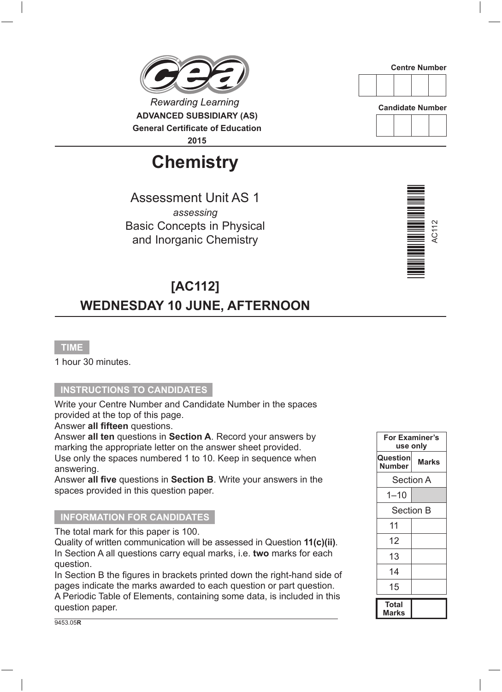

# **Chemistry**

Assessment Unit AS 1 *assessing* Basic Concepts in Physical and Inorganic Chemistry

## **[AC112] WEDNESDAY 10 JUNE, AFTERNOON**

#### **TIME**

1 hour 30 minutes.

#### **INSTRUCTIONS TO CANDIDATES**

Write your Centre Number and Candidate Number in the spaces provided at the top of this page.

Answer **all fifteen** questions.

Answer **all ten** questions in **Section A**. Record your answers by marking the appropriate letter on the answer sheet provided. Use only the spaces numbered 1 to 10. Keep in sequence when answering.

Answer **all five** questions in **Section B**. Write your answers in the spaces provided in this question paper.

#### **INFORMATION FOR CANDIDATES**

The total mark for this paper is 100.

Quality of written communication will be assessed in Question **11(c)(ii)**. In Section A all questions carry equal marks, i.e. **two** marks for each question.

In Section B the figures in brackets printed down the right-hand side of pages indicate the marks awarded to each question or part question. A Periodic Table of Elements, containing some data, is included in this question paper.



**Candidate Number**





|                       | For Examiner's<br>use only |
|-----------------------|----------------------------|
| Question<br>Number    | <b>Marks</b>               |
|                       | <b>Section A</b>           |
| 1–10                  |                            |
| <b>Section B</b>      |                            |
| 11                    |                            |
| 12                    |                            |
| 13                    |                            |
| 14                    |                            |
| 15                    |                            |
| <b>Total</b><br>Marks |                            |

9453.05**R**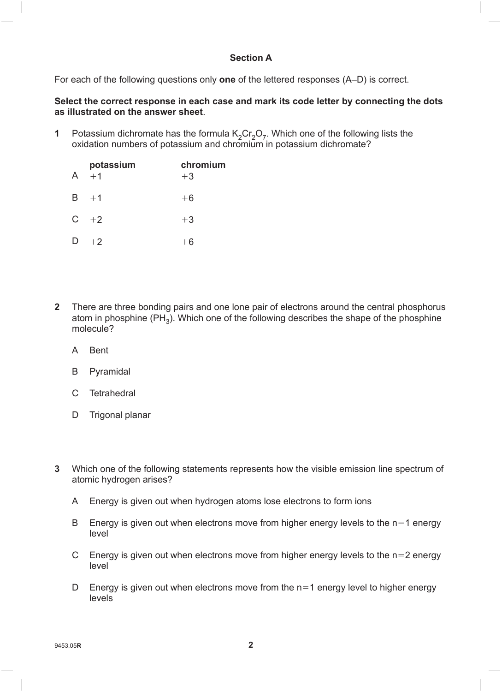#### **Section A**

For each of the following questions only **one** of the lettered responses (A–D) is correct.

#### **Select the correct response in each case and mark its code letter by connecting the dots as illustrated on the answer sheet**.

**1** Potassium dichromate has the formula  $K_2Cr_2O_7$ . Which one of the following lists the oxidation numbers of potassium and chromium in potassium dichromate?

| potassium<br>$A + 1$ | chromium<br>$+3$ |
|----------------------|------------------|
| $B + 1$              | $+6$             |
| $C + 2$              | $+3$             |
| $D + 2$              | $+6$             |

- **2** There are three bonding pairs and one lone pair of electrons around the central phosphorus atom in phosphine  $(PH_3)$ . Which one of the following describes the shape of the phosphine molecule?
	- A Bent
	- B Pyramidal
	- C Tetrahedral
	- D Trigonal planar
- **3** Which one of the following statements represents how the visible emission line spectrum of atomic hydrogen arises?
	- A Energy is given out when hydrogen atoms lose electrons to form ions
	- B Energy is given out when electrons move from higher energy levels to the  $n=1$  energy level
	- C Energy is given out when electrons move from higher energy levels to the  $n=2$  energy level
	- D Energy is given out when electrons move from the  $n=1$  energy level to higher energy levels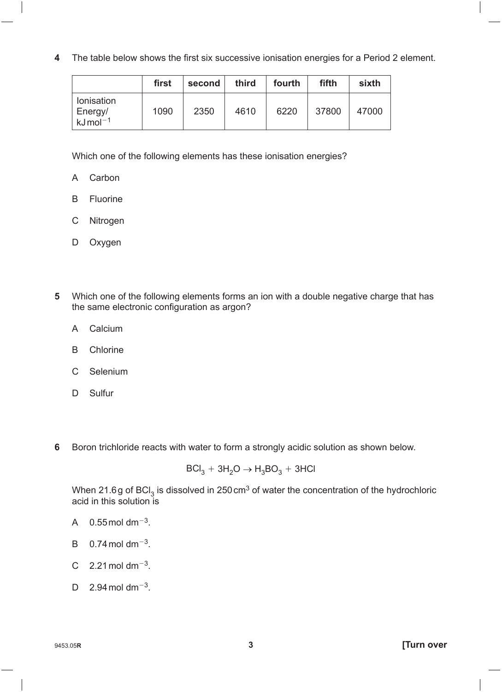**4** The table below shows the first six successive ionisation energies for a Period 2 element.

|                                                        | first | second | third | fourth | fifth | sixth |
|--------------------------------------------------------|-------|--------|-------|--------|-------|-------|
| <b>lonisation</b><br>Energy/<br>$kJ$ mol <sup>-1</sup> | 1090  | 2350   | 4610  | 6220   | 37800 | 47000 |

Which one of the following elements has these ionisation energies?

- A Carbon
- B Fluorine
- C Nitrogen
- D Oxygen
- **5** Which one of the following elements forms an ion with a double negative charge that has the same electronic configuration as argon?
	- A Calcium
	- B Chlorine
	- C Selenium
	- D Sulfur
- **6** Boron trichloride reacts with water to form a strongly acidic solution as shown below.

$$
\text{BCI}_3 + 3\text{H}_2\text{O} \rightarrow \text{H}_3\text{BO}_3 + 3\text{HCl}
$$

When 21.6g of BCl<sub>3</sub> is dissolved in 250 cm<sup>3</sup> of water the concentration of the hydrochloric acid in this solution is

- A  $0.55$  mol dm<sup>-3</sup>.
- $B = 0.74$  mol dm<sup>-3</sup>.
- C  $2.21 \text{ mol dm}^{-3}$ .
- D  $2.94 \text{ mol dm}^{-3}$ .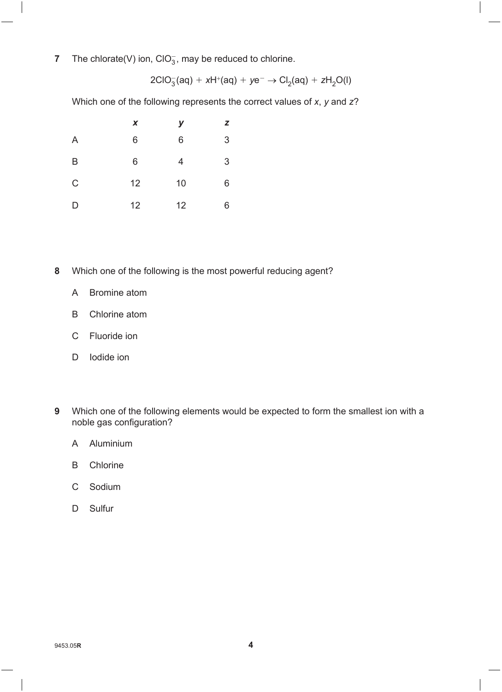**7** The chlorate(V) ion,  $CIO_3^-$ , may be reduced to chlorine.

$$
2ClO_3^-(aq) + xH^+(aq) + ye^- \rightarrow Cl_2(aq) + zH_2O(l)
$$

Which one of the following represents the correct values of *x*, *y* and *z*?

|                         | X  | У  | z              |
|-------------------------|----|----|----------------|
| $\overline{\mathsf{A}}$ | 6  | 6  | 3              |
| B                       | 6  | 4  | $\mathfrak{S}$ |
| $\mathsf C$             | 12 | 10 | 6              |
| D                       | 12 | 12 | 6              |

- **8** Which one of the following is the most powerful reducing agent?
	- A Bromine atom
	- B Chlorine atom
	- C Fluoride ion
	- D lodide ion
- **9** Which one of the following elements would be expected to form the smallest ion with a noble gas configuration?
	- A Aluminium
	- B Chlorine
	- C Sodium
	- D Sulfur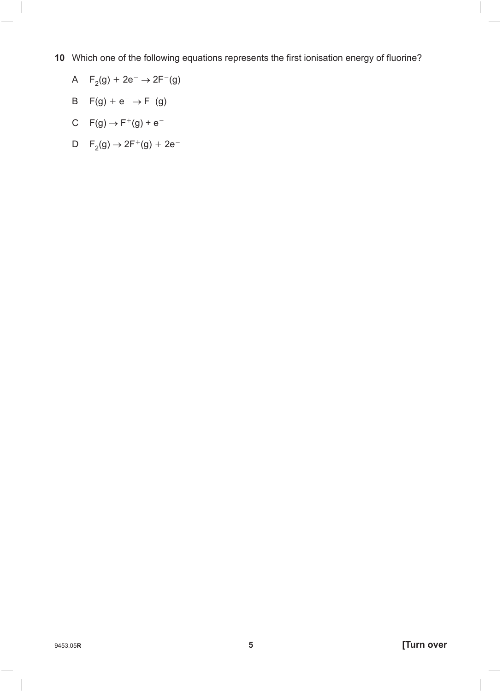- **10** Which one of the following equations represents the first ionisation energy of fluorine?
	- A  $F_2(g) + 2e^- \rightarrow 2F^-(g)$
	- B  $F(g) + e^- \rightarrow F^-(g)$
	- C  $F(g) \to F^+(g) + e^-$
	- D  $F_2(g) \to 2F^+(g) + 2e^-$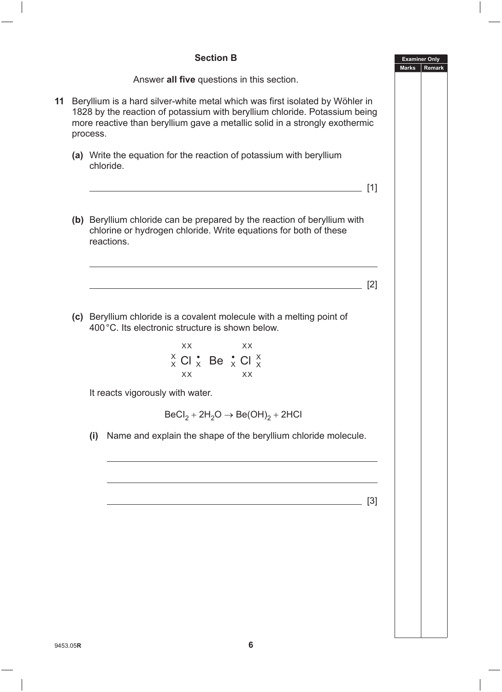#### **Section B**

Answer **all five** questions in this section.

- **11** Beryllium is a hard silver-white metal which was first isolated by Wöhler in 1828 by the reaction of potassium with beryllium chloride. Potassium being more reactive than beryllium gave a metallic solid in a strongly exothermic process.
	- **(a)** Write the equation for the reaction of potassium with beryllium chloride.
	- **(b)** Beryllium chloride can be prepared by the reaction of beryllium with chlorine or hydrogen chloride. Write equations for both of these reactions.

[2]

**(c)** Beryllium chloride is a covalent molecule with a melting point of 400°C. Its electronic structure is shown below.

| XX. |                                                                  | XX. |  |
|-----|------------------------------------------------------------------|-----|--|
|     | $\frac{x}{x}$ Cl $\frac{1}{x}$ Be $\frac{1}{x}$ Cl $\frac{x}{x}$ |     |  |
| XX. |                                                                  | XX. |  |

It reacts vigorously with water.

$$
BeCl_2 + 2H_2O \rightarrow Be(OH)_2 + 2HCl
$$

**(i)** Name and explain the shape of the beryllium chloride molecule.

[3]

 $[1]$ 

**Examiner Only Marks Remark**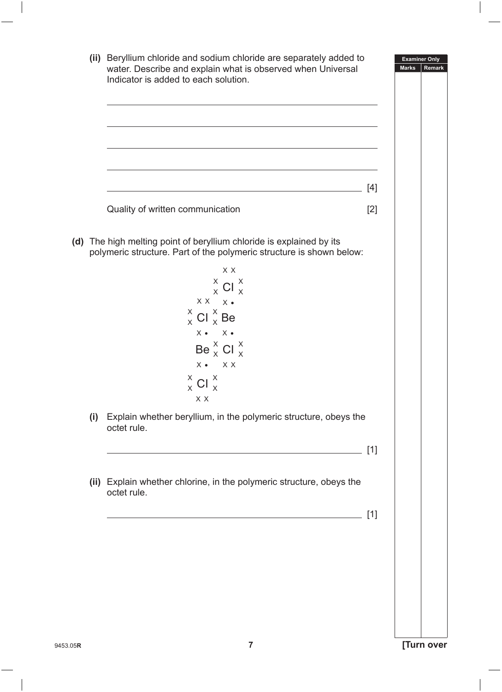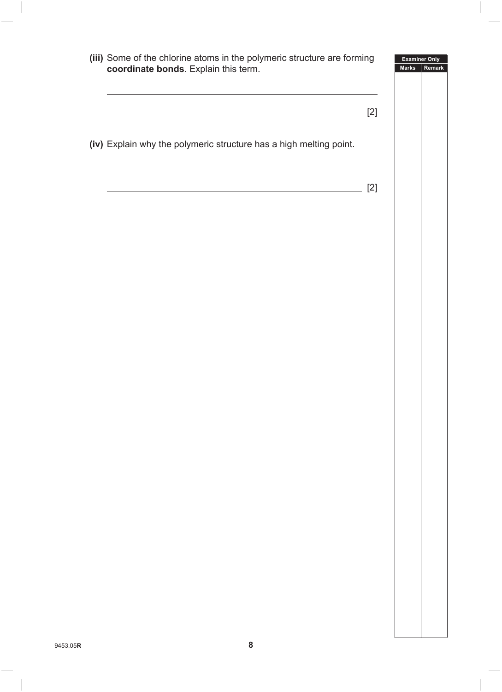| (iii) Some of the chlorine atoms in the polymeric structure are forming<br>coordinate bonds. Explain this term. | <b>Examiner Only</b><br><b>Marks</b><br>Remark |
|-----------------------------------------------------------------------------------------------------------------|------------------------------------------------|
|                                                                                                                 | $[2]$                                          |
| (iv) Explain why the polymeric structure has a high melting point.                                              |                                                |
|                                                                                                                 | $[2]$                                          |
|                                                                                                                 |                                                |
|                                                                                                                 |                                                |
|                                                                                                                 |                                                |
|                                                                                                                 |                                                |
|                                                                                                                 |                                                |
|                                                                                                                 |                                                |
|                                                                                                                 |                                                |
|                                                                                                                 |                                                |
|                                                                                                                 |                                                |
|                                                                                                                 |                                                |
|                                                                                                                 |                                                |
|                                                                                                                 |                                                |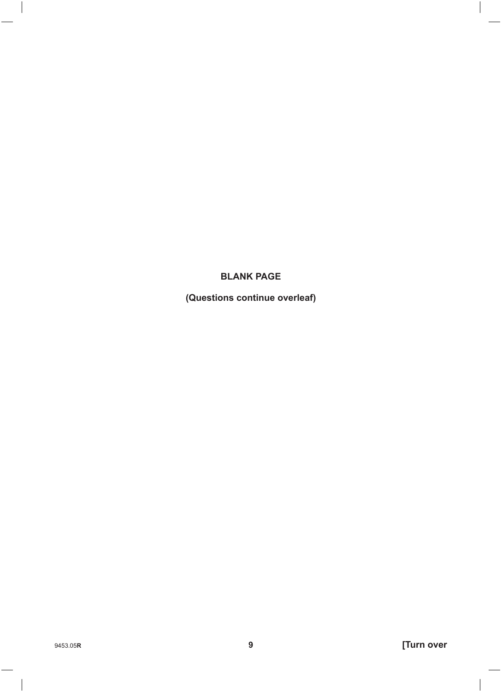### **BLANK PAGE**

(Questions continue overleaf)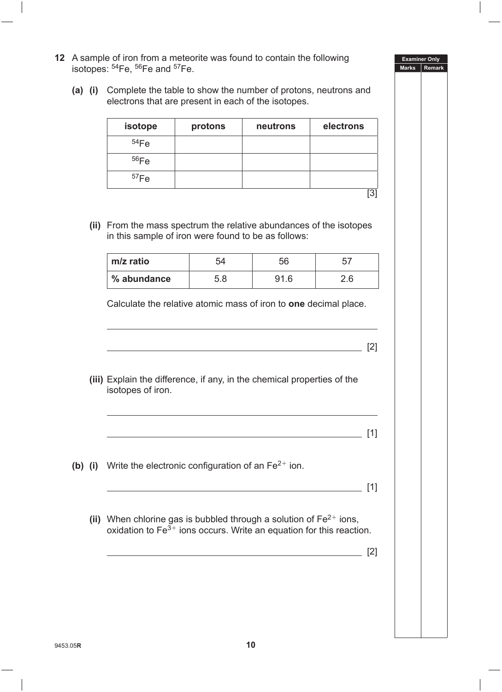|  | electrons that are present in each of the isotopes.                                                                                           |         |          |           |  |
|--|-----------------------------------------------------------------------------------------------------------------------------------------------|---------|----------|-----------|--|
|  | isotope                                                                                                                                       | protons | neutrons | electrons |  |
|  | 54Fe                                                                                                                                          |         |          |           |  |
|  | 56Fe                                                                                                                                          |         |          |           |  |
|  | 57Fe                                                                                                                                          |         |          | $[3]$     |  |
|  |                                                                                                                                               |         |          |           |  |
|  | (ii) From the mass spectrum the relative abundances of the isotopes<br>in this sample of iron were found to be as follows:                    |         |          |           |  |
|  | m/z ratio                                                                                                                                     | 54      | 56       | 57        |  |
|  | % abundance                                                                                                                                   | 5.8     | 91.6     | 2.6       |  |
|  |                                                                                                                                               |         |          | [2]       |  |
|  | (iii) Explain the difference, if any, in the chemical properties of the<br>isotopes of iron.                                                  |         |          |           |  |
|  |                                                                                                                                               |         |          | [1]       |  |
|  | (b) (i) Write the electronic configuration of an $Fe2+$ ion.                                                                                  |         |          | [1]       |  |
|  | (ii) When chlorine gas is bubbled through a solution of $Fe2+$ ions,<br>oxidation to $Fe3+$ ions occurs. Write an equation for this reaction. |         |          |           |  |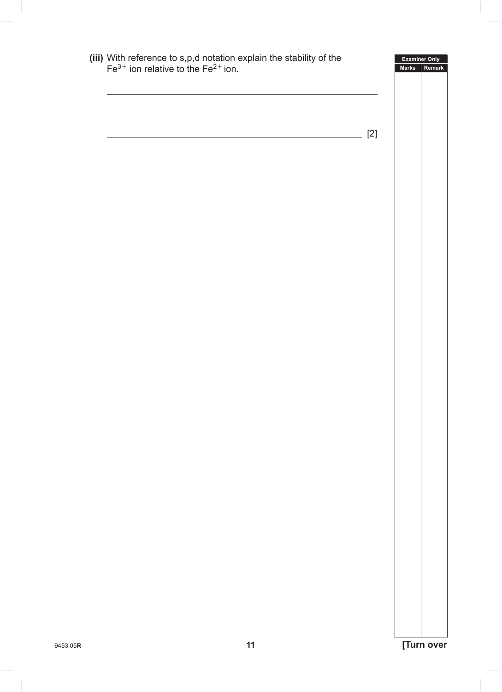| (iii) With reference to s,p,d notation explain the stability of the $Fe^{3+}$ ion relative to the Fe <sup>2+</sup> ion. | <b>Marks</b> |  |
|-------------------------------------------------------------------------------------------------------------------------|--------------|--|
|                                                                                                                         |              |  |
|                                                                                                                         | $[2]$        |  |
|                                                                                                                         |              |  |
|                                                                                                                         |              |  |
|                                                                                                                         |              |  |
|                                                                                                                         |              |  |
|                                                                                                                         |              |  |
|                                                                                                                         |              |  |
|                                                                                                                         |              |  |
|                                                                                                                         |              |  |
|                                                                                                                         |              |  |
|                                                                                                                         |              |  |
|                                                                                                                         |              |  |
|                                                                                                                         |              |  |
|                                                                                                                         |              |  |
|                                                                                                                         |              |  |
|                                                                                                                         |              |  |
|                                                                                                                         |              |  |
|                                                                                                                         |              |  |
|                                                                                                                         |              |  |
|                                                                                                                         |              |  |
|                                                                                                                         |              |  |
|                                                                                                                         |              |  |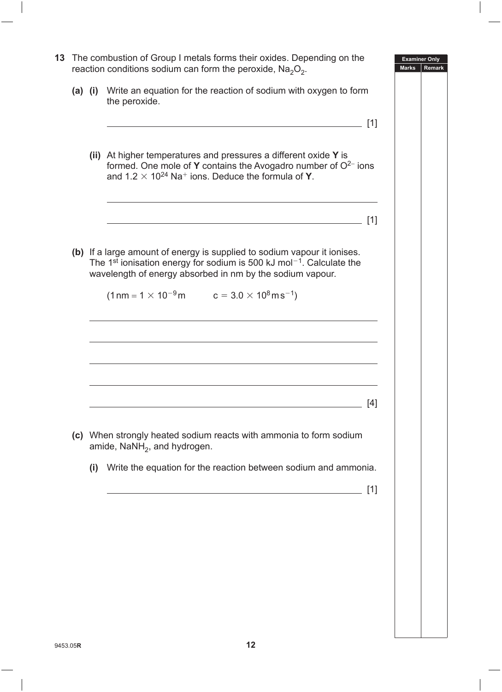|  |     | 13 The combustion of Group I metals forms their oxides. Depending on the<br>reaction conditions sodium can form the peroxide, $Na2O2$ .                                                                                                            |     | <b>Examiner Only</b><br><b>Marks</b><br><b>Remark</b> |
|--|-----|----------------------------------------------------------------------------------------------------------------------------------------------------------------------------------------------------------------------------------------------------|-----|-------------------------------------------------------|
|  |     | (a) (i) Write an equation for the reaction of sodium with oxygen to form<br>the peroxide.                                                                                                                                                          |     |                                                       |
|  |     |                                                                                                                                                                                                                                                    | [1] |                                                       |
|  |     | (ii) At higher temperatures and pressures a different oxide Y is<br>formed. One mole of Y contains the Avogadro number of $O^{2-}$ ions<br>and $1.2 \times 10^{24}$ Na <sup>+</sup> ions. Deduce the formula of Y.                                 |     |                                                       |
|  |     |                                                                                                                                                                                                                                                    | [1] |                                                       |
|  |     | (b) If a large amount of energy is supplied to sodium vapour it ionises.<br>The 1 <sup>st</sup> ionisation energy for sodium is 500 kJ mol <sup><math>-1</math></sup> . Calculate the<br>wavelength of energy absorbed in nm by the sodium vapour. |     |                                                       |
|  |     | $(1 \text{ nm} = 1 \times 10^{-9} \text{ m}$ $c = 3.0 \times 10^{8} \text{ m s}^{-1})$                                                                                                                                                             |     |                                                       |
|  |     |                                                                                                                                                                                                                                                    |     |                                                       |
|  |     |                                                                                                                                                                                                                                                    |     |                                                       |
|  |     |                                                                                                                                                                                                                                                    | [4] |                                                       |
|  |     | (c) When strongly heated sodium reacts with ammonia to form sodium<br>amide, $N$ aNH <sub>2</sub> , and hydrogen.                                                                                                                                  |     |                                                       |
|  | (i) | Write the equation for the reaction between sodium and ammonia.                                                                                                                                                                                    |     |                                                       |
|  |     |                                                                                                                                                                                                                                                    | [1] |                                                       |
|  |     |                                                                                                                                                                                                                                                    |     |                                                       |
|  |     |                                                                                                                                                                                                                                                    |     |                                                       |
|  |     |                                                                                                                                                                                                                                                    |     |                                                       |
|  |     |                                                                                                                                                                                                                                                    |     |                                                       |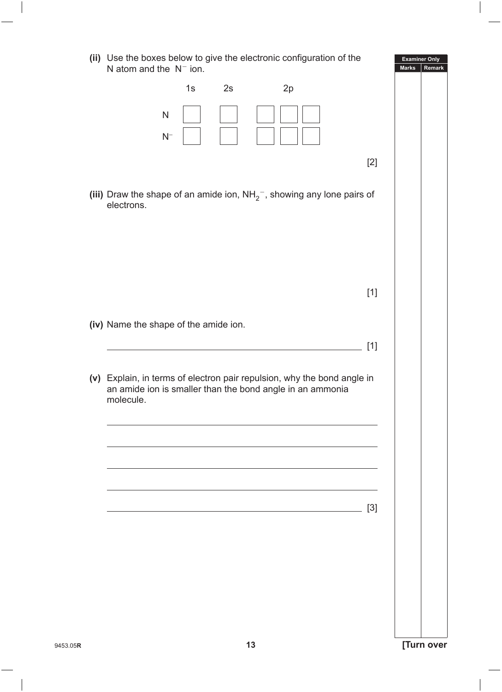**(ii)** Use the boxes below to give the electronic configuration of the N atom and the  $N^-$  ion.

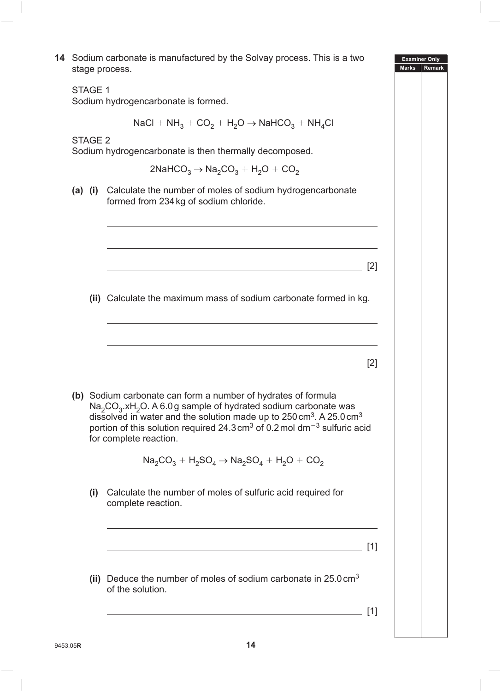**Examiner Only Marks Remark 14** Sodium carbonate is manufactured by the Solvay process. This is a two stage process. STAGE 1 Sodium hydrogencarbonate is formed.  $NaCl + NH<sub>3</sub> + CO<sub>2</sub> + H<sub>2</sub>O \rightarrow NaHCO<sub>3</sub> + NH<sub>4</sub>Cl$ STAGE 2 Sodium hydrogencarbonate is then thermally decomposed.  $2NaHCO<sub>3</sub> \rightarrow Na<sub>2</sub>CO<sub>3</sub> + H<sub>2</sub>O + CO<sub>2</sub>$ **(a) (i)** Calculate the number of moles of sodium hydrogencarbonate formed from 234kg of sodium chloride. [2] **(ii)** Calculate the maximum mass of sodium carbonate formed in kg.  $\sim$  [2] **(b)** Sodium carbonate can form a number of hydrates of formula  $Na<sub>2</sub>CO<sub>3</sub> xH<sub>2</sub>O.$  A 6.0g sample of hydrated sodium carbonate was dissolved in water and the solution made up to  $250 \text{ cm}^3$ . A  $25.0 \text{ cm}^3$ portion of this solution required 24.3 cm<sup>3</sup> of 0.2 mol dm<sup>-3</sup> sulfuric acid for complete reaction.  $Na_2CO_3 + H_2SO_4 \rightarrow Na_2SO_4 + H_2O + CO_2$ **(i)** Calculate the number of moles of sulfuric acid required for complete reaction.  $[1]$ **(ii)** Deduce the number of moles of sodium carbonate in 25.0cm3 of the solution. [1]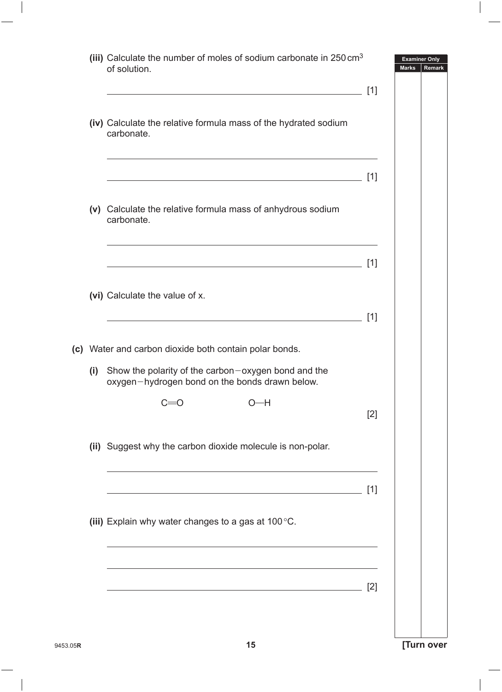|          |     | (iii) Calculate the number of moles of sodium carbonate in $250 \text{ cm}^3$<br>of solution.                                                                                             |       | <b>Examiner Only</b><br><b>Marks</b><br>Remark |
|----------|-----|-------------------------------------------------------------------------------------------------------------------------------------------------------------------------------------------|-------|------------------------------------------------|
|          |     | (iv) Calculate the relative formula mass of the hydrated sodium<br>carbonate.                                                                                                             |       |                                                |
|          |     |                                                                                                                                                                                           | $[1]$ |                                                |
|          |     | (v) Calculate the relative formula mass of anhydrous sodium<br>carbonate.                                                                                                                 |       |                                                |
|          |     | <u> 1980 - Andrea Stadt Britain, amerikansk politik (* 1958)</u><br><u> 1989 - Johann Stoff, deutscher Stoff, der Stoff, der Stoff, der Stoff, der Stoff, der Stoff, der Stoff, der S</u> | $[1]$ |                                                |
|          |     | (vi) Calculate the value of x.<br><u> 1989 - Johann Stoff, deutscher Stoffen und der Stoffen und der Stoffen und der Stoffen und der Stoffen und der</u>                                  | [1]   |                                                |
|          |     | (c) Water and carbon dioxide both contain polar bonds.                                                                                                                                    |       |                                                |
|          | (i) | Show the polarity of the carbon-oxygen bond and the<br>oxygen-hydrogen bond on the bonds drawn below.                                                                                     |       |                                                |
|          |     | $O-H$                                                                                                                                                                                     | $[2]$ |                                                |
|          |     | (ii) Suggest why the carbon dioxide molecule is non-polar.                                                                                                                                |       |                                                |
|          |     | <u> 1980 - Johann Barn, fransk politik (d. 1980)</u>                                                                                                                                      | $[1]$ |                                                |
|          |     | (iii) Explain why water changes to a gas at 100 °C.                                                                                                                                       |       |                                                |
|          |     |                                                                                                                                                                                           |       |                                                |
|          |     |                                                                                                                                                                                           | $[2]$ |                                                |
| 9453.05R |     | 15                                                                                                                                                                                        |       | [Turn over                                     |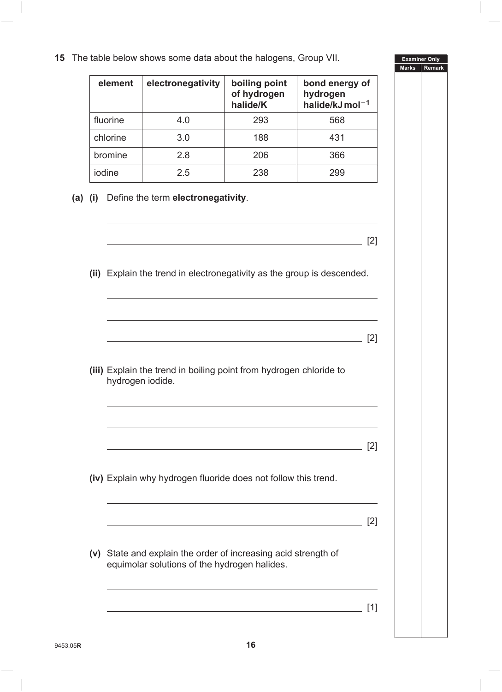**15** The table below shows some data about the halogens, Group VII.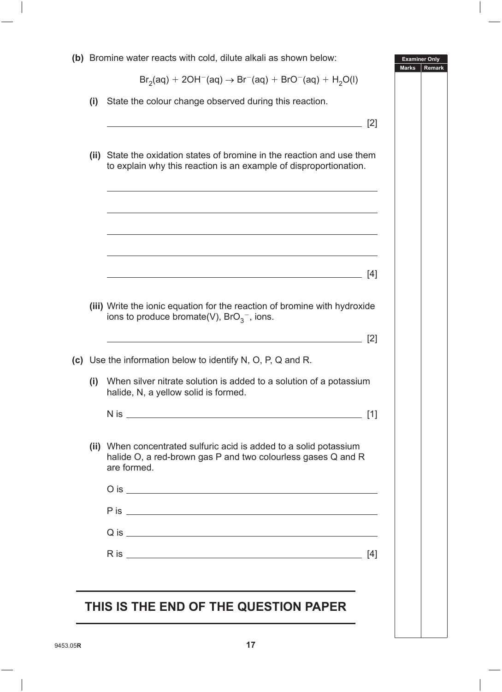|     | (b) Bromine water reacts with cold, dilute alkali as shown below:                                                                                 | <b>Examiner Only</b><br>Marks<br>Remark |
|-----|---------------------------------------------------------------------------------------------------------------------------------------------------|-----------------------------------------|
|     | $Br_2(aq) + 2OH^{-}(aq) \rightarrow Br^{-}(aq) + BrO^{-}(aq) + H_2O(l)$                                                                           |                                         |
| (i) | State the colour change observed during this reaction.                                                                                            |                                         |
|     | [2]                                                                                                                                               |                                         |
|     | (ii) State the oxidation states of bromine in the reaction and use them<br>to explain why this reaction is an example of disproportionation.      |                                         |
|     |                                                                                                                                                   |                                         |
|     | [4]                                                                                                                                               |                                         |
|     | (iii) Write the ionic equation for the reaction of bromine with hydroxide<br>ions to produce bromate(V), $BrO_3^-$ , ions.                        |                                         |
|     | [2]<br><u> 1989 - Johann Stein, marwolaethau a bhann an t-Amhain an t-Amhain an t-Amhain an t-Amhain an t-Amhain an t-A</u>                       |                                         |
|     | (c) Use the information below to identify N, O, P, Q and R.                                                                                       |                                         |
| (i) | When silver nitrate solution is added to a solution of a potassium<br>halide, N, a yellow solid is formed.                                        |                                         |
|     |                                                                                                                                                   |                                         |
|     | (ii) When concentrated sulfuric acid is added to a solid potassium<br>halide O, a red-brown gas P and two colourless gases Q and R<br>are formed. |                                         |
|     |                                                                                                                                                   |                                         |
|     |                                                                                                                                                   |                                         |
|     |                                                                                                                                                   |                                         |
|     |                                                                                                                                                   |                                         |